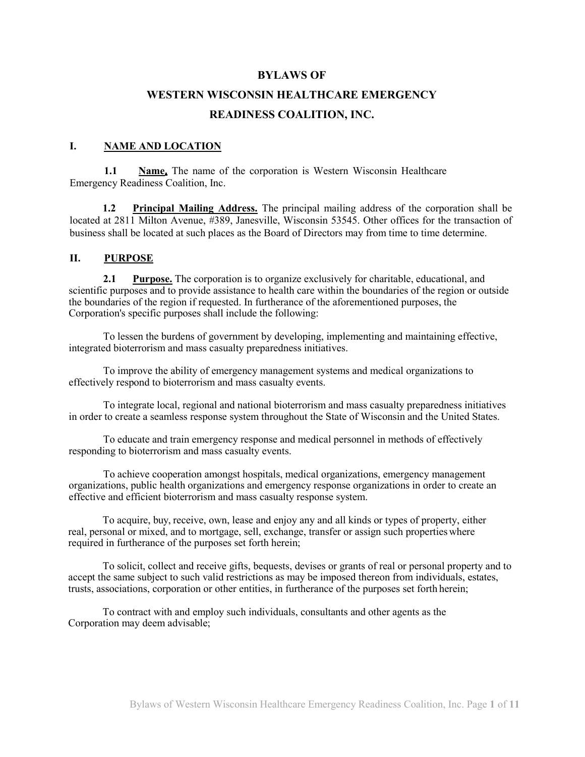#### **BYLAWS OF**

# **WESTERN WISCONSIN HEALTHCARE EMERGENCY READINESS COALITION, INC.**

#### **I. NAME AND LOCATION**

**1.1 Name.** The name of the corporation is Western Wisconsin Healthcare Emergency Readiness Coalition, Inc.

**1.2 Principal Mailing Address.** The principal mailing address of the corporation shall be located at 2811 Milton Avenue, #389, Janesville, Wisconsin 53545. Other offices for the transaction of business shall be located at such places as the Board of Directors may from time to time determine.

#### **II. PURPOSE**

**2.1 Purpose.** The corporation is to organize exclusively for charitable, educational, and scientific purposes and to provide assistance to health care within the boundaries of the region or outside the boundaries of the region if requested. In furtherance of the aforementioned purposes, the Corporation's specific purposes shall include the following:

To lessen the burdens of government by developing, implementing and maintaining effective, integrated bioterrorism and mass casualty preparedness initiatives.

To improve the ability of emergency management systems and medical organizations to effectively respond to bioterrorism and mass casualty events.

To integrate local, regional and national bioterrorism and mass casualty preparedness initiatives in order to create a seamless response system throughout the State of Wisconsin and the United States.

To educate and train emergency response and medical personnel in methods of effectively responding to bioterrorism and mass casualty events.

To achieve cooperation amongst hospitals, medical organizations, emergency management organizations, public health organizations and emergency response organizations in order to create an effective and efficient bioterrorism and mass casualty response system.

To acquire, buy, receive, own, lease and enjoy any and all kinds or types of property, either real, personal or mixed, and to mortgage, sell, exchange, transfer or assign such propertieswhere required in furtherance of the purposes set forth herein;

To solicit, collect and receive gifts, bequests, devises or grants of real or personal property and to accept the same subject to such valid restrictions as may be imposed thereon from individuals, estates, trusts, associations, corporation or other entities, in furtherance of the purposes set forth herein;

To contract with and employ such individuals, consultants and other agents as the Corporation may deem advisable;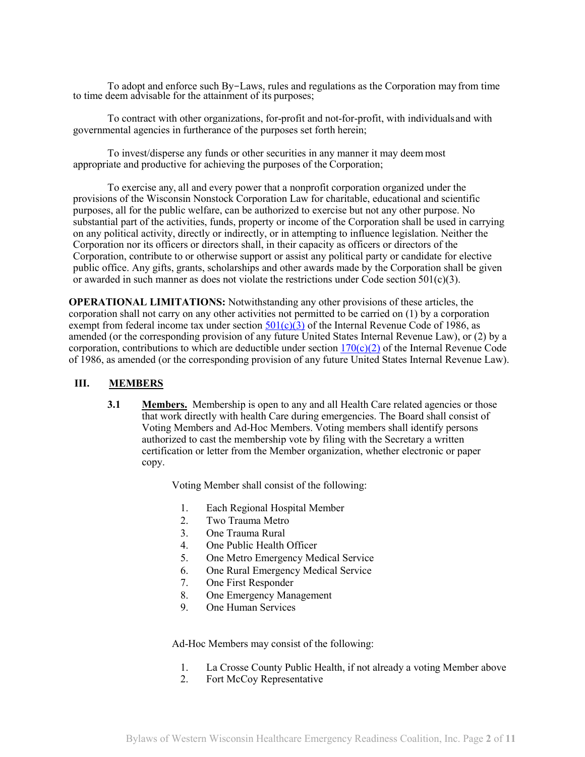To adopt and enforce such By-Laws, rules and regulations as the Corporation may from time to time deem advisable for the attainment of its purposes;

To contract with other organizations, for-profit and not-for-profit, with individualsand with governmental agencies in furtherance of the purposes set forth herein;

To invest/disperse any funds or other securities in any manner it may deem most appropriate and productive for achieving the purposes of the Corporation;

To exercise any, all and every power that a nonprofit corporation organized under the provisions of the Wisconsin Nonstock Corporation Law for charitable, educational and scientific purposes, all for the public welfare, can be authorized to exercise but not any other purpose. No substantial part of the activities, funds, property or income of the Corporation shall be used in carrying on any political activity, directly or indirectly, or in attempting to influence legislation. Neither the Corporation nor its officers or directors shall, in their capacity as officers or directors of the Corporation, contribute to or otherwise support or assist any political party or candidate for elective public office. Any gifts, grants, scholarships and other awards made by the Corporation shall be given or awarded in such manner as does not violate the restrictions under Code section 501 $(c)(3)$ .

**OPERATIONAL LIMITATIONS:** Notwithstanding any other provisions of these articles, the corporation shall not carry on any other activities not permitted to be carried on (1) by a corporation exempt from federal income tax under section  $501(c)(3)$  of the Internal Revenue Code of 1986, as amended (or the corresponding provision of any future United States Internal Revenue Law), or (2) by a corporation, contributions to which are deductible under section  $170(c)(2)$  of the Internal Revenue Code of 1986, as amended (or the corresponding provision of any future United States Internal Revenue Law).

#### **III. MEMBERS**

**3.1 Members.** Membership is open to any and all Health Care related agencies or those that work directly with health Care during emergencies. The Board shall consist of Voting Members and Ad-Hoc Members. Voting members shall identify persons authorized to cast the membership vote by filing with the Secretary a written certification or letter from the Member organization, whether electronic or paper copy.

Voting Member shall consist of the following:

- 1. Each Regional Hospital Member
- 2. Two Trauma Metro
- 3. One Trauma Rural
- 4. One Public Health Officer
- 5. One Metro Emergency Medical Service
- 6. One Rural Emergency Medical Service
- 7. One First Responder
- 8. One Emergency Management
- 9. One Human Services

Ad-Hoc Members may consist of the following:

- 1. La Crosse County Public Health, if not already a voting Member above
- 2. Fort McCoy Representative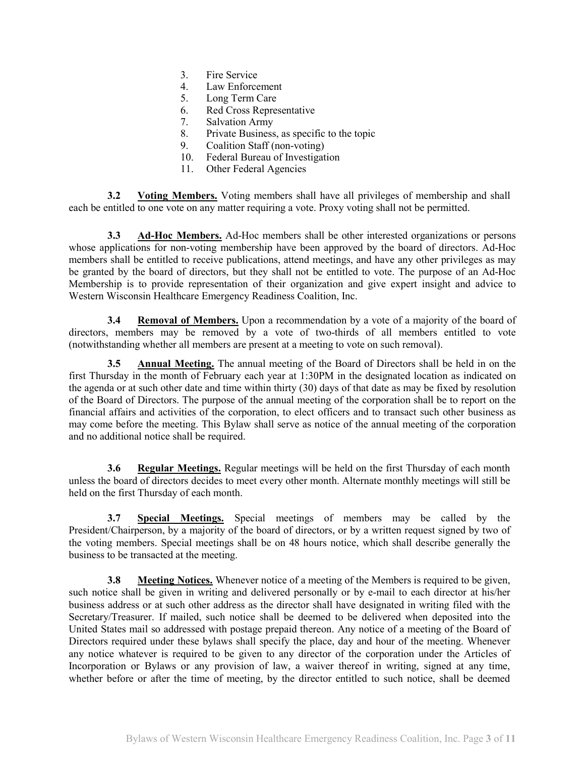- 3. Fire Service
- 4. Law Enforcement
- 5. Long Term Care
- 6. Red Cross Representative
- 7. Salvation Army
- 8. Private Business, as specific to the topic
- 9. Coalition Staff (non-voting)
- 10. Federal Bureau of Investigation
- 11. Other Federal Agencies

**3.2 Voting Members.** Voting members shall have all privileges of membership and shall each be entitled to one vote on any matter requiring a vote. Proxy voting shall not be permitted.

**3.3 Ad-Hoc Members.** Ad-Hoc members shall be other interested organizations or persons whose applications for non-voting membership have been approved by the board of directors. Ad-Hoc members shall be entitled to receive publications, attend meetings, and have any other privileges as may be granted by the board of directors, but they shall not be entitled to vote. The purpose of an Ad-Hoc Membership is to provide representation of their organization and give expert insight and advice to Western Wisconsin Healthcare Emergency Readiness Coalition, Inc.

**3.4 Removal of Members.** Upon a recommendation by a vote of a majority of the board of directors, members may be removed by a vote of two-thirds of all members entitled to vote (notwithstanding whether all members are present at a meeting to vote on such removal).

**3.5 Annual Meeting.** The annual meeting of the Board of Directors shall be held in on the first Thursday in the month of February each year at 1:30PM in the designated location as indicated on the agenda or at such other date and time within thirty (30) days of that date as may be fixed by resolution of the Board of Directors. The purpose of the annual meeting of the corporation shall be to report on the financial affairs and activities of the corporation, to elect officers and to transact such other business as may come before the meeting. This Bylaw shall serve as notice of the annual meeting of the corporation and no additional notice shall be required.

**3.6 Regular Meetings.** Regular meetings will be held on the first Thursday of each month unless the board of directors decides to meet every other month. Alternate monthly meetings will still be held on the first Thursday of each month.

**3.7 Special Meetings.** Special meetings of members may be called by the President/Chairperson, by a majority of the board of directors, or by a written request signed by two of the voting members. Special meetings shall be on 48 hours notice, which shall describe generally the business to be transacted at the meeting.

**3.8 Meeting Notices.** Whenever notice of a meeting of the Members is required to be given, such notice shall be given in writing and delivered personally or by e-mail to each director at his/her business address or at such other address as the director shall have designated in writing filed with the Secretary/Treasurer. If mailed, such notice shall be deemed to be delivered when deposited into the United States mail so addressed with postage prepaid thereon. Any notice of a meeting of the Board of Directors required under these bylaws shall specify the place, day and hour of the meeting. Whenever any notice whatever is required to be given to any director of the corporation under the Articles of Incorporation or Bylaws or any provision of law, a waiver thereof in writing, signed at any time, whether before or after the time of meeting, by the director entitled to such notice, shall be deemed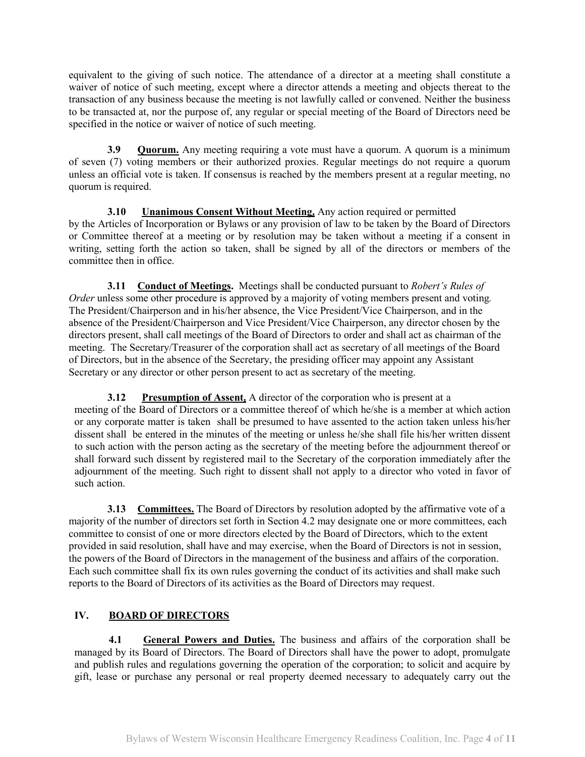equivalent to the giving of such notice. The attendance of a director at a meeting shall constitute a waiver of notice of such meeting, except where a director attends a meeting and objects thereat to the transaction of any business because the meeting is not lawfully called or convened. Neither the business to be transacted at, nor the purpose of, any regular or special meeting of the Board of Directors need be specified in the notice or waiver of notice of such meeting.

**3.9 Quorum.** Any meeting requiring a vote must have a quorum. A quorum is a minimum of seven (7) voting members or their authorized proxies. Regular meetings do not require a quorum unless an official vote is taken. If consensus is reached by the members present at a regular meeting, no quorum is required.

**3.10 Unanimous Consent Without Meeting.** Any action required or permitted by the Articles of Incorporation or Bylaws or any provision of law to be taken by the Board of Directors or Committee thereof at a meeting or by resolution may be taken without a meeting if a consent in writing, setting forth the action so taken, shall be signed by all of the directors or members of the committee then in office.

**3.11 Conduct of Meetings.** Meetings shall be conducted pursuant to *Robert's Rules of Order* unless some other procedure is approved by a majority of voting members present and voting*.*  The President/Chairperson and in his/her absence, the Vice President/Vice Chairperson, and in the absence of the President/Chairperson and Vice President/Vice Chairperson, any director chosen by the directors present, shall call meetings of the Board of Directors to order and shall act as chairman of the meeting. The Secretary/Treasurer of the corporation shall act as secretary of all meetings of the Board of Directors, but in the absence of the Secretary, the presiding officer may appoint any Assistant Secretary or any director or other person present to act as secretary of the meeting.

**3.12 Presumption of Assent.** A director of the corporation who is present at a meeting of the Board of Directors or a committee thereof of which he/she is a member at which action or any corporate matter is taken shall be presumed to have assented to the action taken unless his/her dissent shall be entered in the minutes of the meeting or unless he/she shall file his/her written dissent to such action with the person acting as the secretary of the meeting before the adjournment thereof or shall forward such dissent by registered mail to the Secretary of the corporation immediately after the adjournment of the meeting. Such right to dissent shall not apply to a director who voted in favor of such action.

**3.13 Committees.** The Board of Directors by resolution adopted by the affirmative vote of a majority of the number of directors set forth in Section 4.2 may designate one or more committees, each committee to consist of one or more directors elected by the Board of Directors, which to the extent provided in said resolution, shall have and may exercise, when the Board of Directors is not in session, the powers of the Board of Directors in the management of the business and affairs of the corporation. Each such committee shall fix its own rules governing the conduct of its activities and shall make such reports to the Board of Directors of its activities as the Board of Directors may request.

## **IV. BOARD OF DIRECTORS**

**4.1 General Powers and Duties.** The business and affairs of the corporation shall be managed by its Board of Directors. The Board of Directors shall have the power to adopt, promulgate and publish rules and regulations governing the operation of the corporation; to solicit and acquire by gift, lease or purchase any personal or real property deemed necessary to adequately carry out the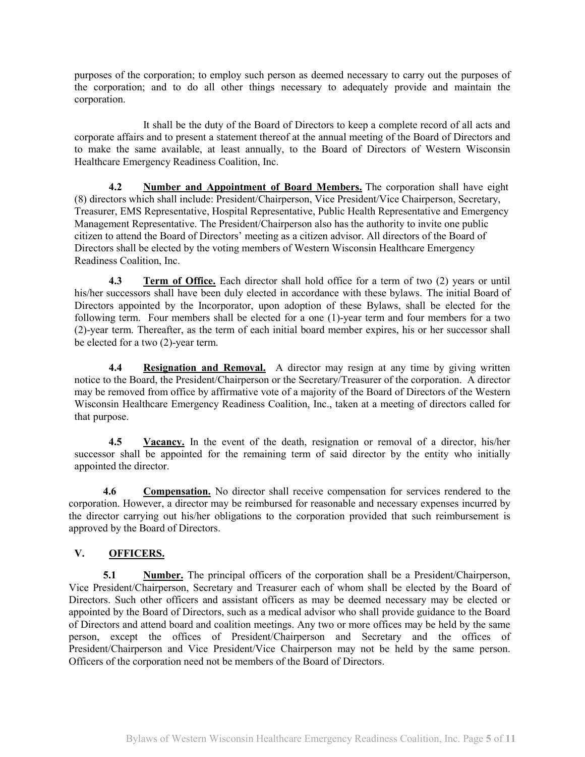purposes of the corporation; to employ such person as deemed necessary to carry out the purposes of the corporation; and to do all other things necessary to adequately provide and maintain the corporation.

It shall be the duty of the Board of Directors to keep a complete record of all acts and corporate affairs and to present a statement thereof at the annual meeting of the Board of Directors and to make the same available, at least annually, to the Board of Directors of Western Wisconsin Healthcare Emergency Readiness Coalition, Inc.

**4.2 Number and Appointment of Board Members.** The corporation shall have eight (8) directors which shall include: President/Chairperson, Vice President/Vice Chairperson, Secretary, Treasurer, EMS Representative, Hospital Representative, Public Health Representative and Emergency Management Representative. The President/Chairperson also has the authority to invite one public citizen to attend the Board of Directors' meeting as a citizen advisor. All directors of the Board of Directors shall be elected by the voting members of Western Wisconsin Healthcare Emergency Readiness Coalition, Inc.

**4.3 Term of Office.** Each director shall hold office for a term of two (2) years or until his/her successors shall have been duly elected in accordance with these bylaws. The initial Board of Directors appointed by the Incorporator, upon adoption of these Bylaws, shall be elected for the following term. Four members shall be elected for a one (1)-year term and four members for a two (2)-year term. Thereafter, as the term of each initial board member expires, his or her successor shall be elected for a two (2)-year term.

**4.4 Resignation and Removal.** A director may resign at any time by giving written notice to the Board, the President/Chairperson or the Secretary/Treasurer of the corporation. A director may be removed from office by affirmative vote of a majority of the Board of Directors of the Western Wisconsin Healthcare Emergency Readiness Coalition, Inc., taken at a meeting of directors called for that purpose.

**4.5 Vacancy.** In the event of the death, resignation or removal of a director, his/her successor shall be appointed for the remaining term of said director by the entity who initially appointed the director.

**4.6 Compensation.** No director shall receive compensation for services rendered to the corporation. However, a director may be reimbursed for reasonable and necessary expenses incurred by the director carrying out his/her obligations to the corporation provided that such reimbursement is approved by the Board of Directors.

### **V. OFFICERS.**

**5.1 Number.** The principal officers of the corporation shall be a President/Chairperson, Vice President/Chairperson, Secretary and Treasurer each of whom shall be elected by the Board of Directors. Such other officers and assistant officers as may be deemed necessary may be elected or appointed by the Board of Directors, such as a medical advisor who shall provide guidance to the Board of Directors and attend board and coalition meetings. Any two or more offices may be held by the same person, except the offices of President/Chairperson and Secretary and the offices of President/Chairperson and Vice President/Vice Chairperson may not be held by the same person. Officers of the corporation need not be members of the Board of Directors.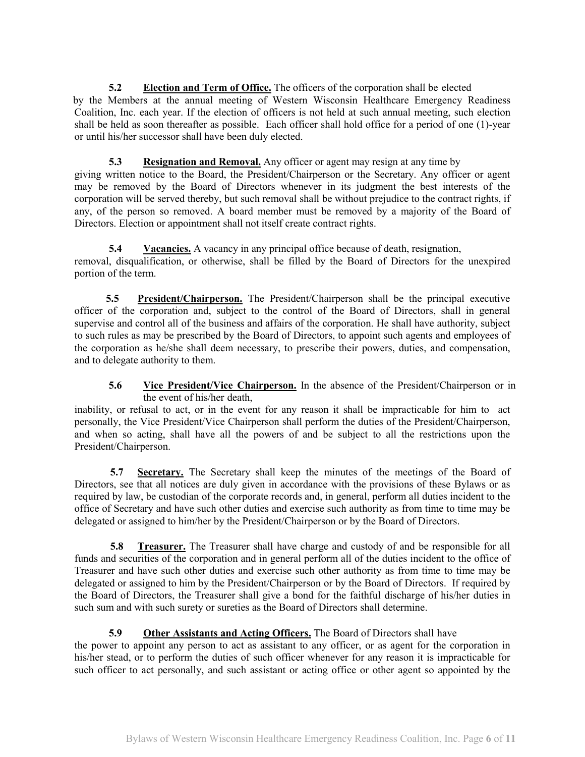**5.2 Election and Term of Office.** The officers of the corporation shall be elected by the Members at the annual meeting of Western Wisconsin Healthcare Emergency Readiness Coalition, Inc. each year. If the election of officers is not held at such annual meeting, such election shall be held as soon thereafter as possible. Each officer shall hold office for a period of one (1)-year or until his/her successor shall have been duly elected.

### **5.3 Resignation and Removal.** Any officer or agent may resign at any time by

giving written notice to the Board, the President/Chairperson or the Secretary. Any officer or agent may be removed by the Board of Directors whenever in its judgment the best interests of the corporation will be served thereby, but such removal shall be without prejudice to the contract rights, if any, of the person so removed. A board member must be removed by a majority of the Board of Directors. Election or appointment shall not itself create contract rights.

**5.4 Vacancies.** A vacancy in any principal office because of death, resignation, removal, disqualification, or otherwise, shall be filled by the Board of Directors for the unexpired portion of the term.

**5.5 President/Chairperson.** The President/Chairperson shall be the principal executive officer of the corporation and, subject to the control of the Board of Directors, shall in general supervise and control all of the business and affairs of the corporation. He shall have authority, subject to such rules as may be prescribed by the Board of Directors, to appoint such agents and employees of the corporation as he/she shall deem necessary, to prescribe their powers, duties, and compensation, and to delegate authority to them.

### **5.6 Vice President/Vice Chairperson.** In the absence of the President/Chairperson or in the event of his/her death,

inability, or refusal to act, or in the event for any reason it shall be impracticable for him to act personally, the Vice President/Vice Chairperson shall perform the duties of the President/Chairperson, and when so acting, shall have all the powers of and be subject to all the restrictions upon the President/Chairperson.

**5.7 Secretary.** The Secretary shall keep the minutes of the meetings of the Board of Directors, see that all notices are duly given in accordance with the provisions of these Bylaws or as required by law, be custodian of the corporate records and, in general, perform all duties incident to the office of Secretary and have such other duties and exercise such authority as from time to time may be delegated or assigned to him/her by the President/Chairperson or by the Board of Directors.

**5.8 Treasurer.** The Treasurer shall have charge and custody of and be responsible for all funds and securities of the corporation and in general perform all of the duties incident to the office of Treasurer and have such other duties and exercise such other authority as from time to time may be delegated or assigned to him by the President/Chairperson or by the Board of Directors. If required by the Board of Directors, the Treasurer shall give a bond for the faithful discharge of his/her duties in such sum and with such surety or sureties as the Board of Directors shall determine.

### **5.9 Other Assistants and Acting Officers.** The Board of Directors shall have

the power to appoint any person to act as assistant to any officer, or as agent for the corporation in his/her stead, or to perform the duties of such officer whenever for any reason it is impracticable for such officer to act personally, and such assistant or acting office or other agent so appointed by the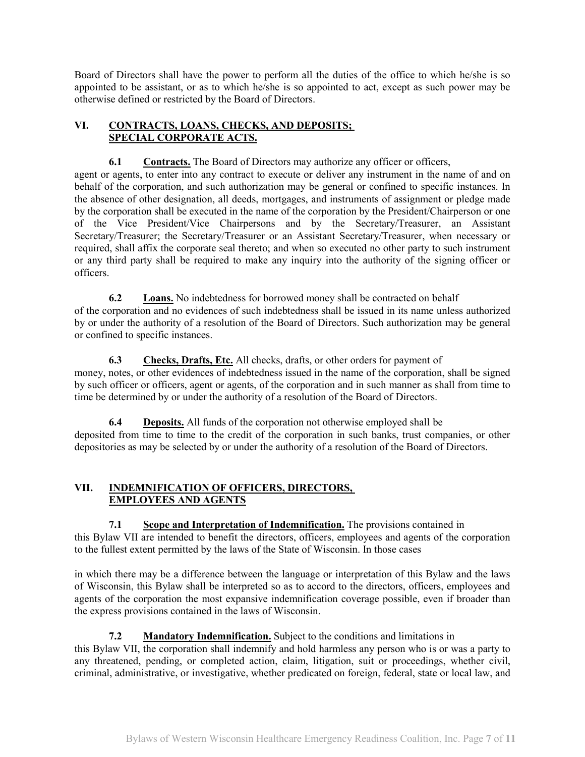Board of Directors shall have the power to perform all the duties of the office to which he/she is so appointed to be assistant, or as to which he/she is so appointed to act, except as such power may be otherwise defined or restricted by the Board of Directors.

### **VI. CONTRACTS, LOANS, CHECKS, AND DEPOSITS; SPECIAL CORPORATE ACTS.**

**6.1 Contracts.** The Board of Directors may authorize any officer or officers,

agent or agents, to enter into any contract to execute or deliver any instrument in the name of and on behalf of the corporation, and such authorization may be general or confined to specific instances. In the absence of other designation, all deeds, mortgages, and instruments of assignment or pledge made by the corporation shall be executed in the name of the corporation by the President/Chairperson or one of the Vice President/Vice Chairpersons and by the Secretary/Treasurer, an Assistant Secretary/Treasurer; the Secretary/Treasurer or an Assistant Secretary/Treasurer, when necessary or required, shall affix the corporate seal thereto; and when so executed no other party to such instrument or any third party shall be required to make any inquiry into the authority of the signing officer or officers.

**6.2 Loans.** No indebtedness for borrowed money shall be contracted on behalf of the corporation and no evidences of such indebtedness shall be issued in its name unless authorized by or under the authority of a resolution of the Board of Directors. Such authorization may be general or confined to specific instances.

**6.3 Checks, Drafts, Etc.** All checks, drafts, or other orders for payment of money, notes, or other evidences of indebtedness issued in the name of the corporation, shall be signed by such officer or officers, agent or agents, of the corporation and in such manner as shall from time to time be determined by or under the authority of a resolution of the Board of Directors.

**6.4 Deposits.** All funds of the corporation not otherwise employed shall be deposited from time to time to the credit of the corporation in such banks, trust companies, or other depositories as may be selected by or under the authority of a resolution of the Board of Directors.

### **VII. INDEMNIFICATION OF OFFICERS, DIRECTORS, EMPLOYEES AND AGENTS**

**7.1 Scope and Interpretation of Indemnification.** The provisions contained in this Bylaw VII are intended to benefit the directors, officers, employees and agents of the corporation to the fullest extent permitted by the laws of the State of Wisconsin. In those cases

in which there may be a difference between the language or interpretation of this Bylaw and the laws of Wisconsin, this Bylaw shall be interpreted so as to accord to the directors, officers, employees and agents of the corporation the most expansive indemnification coverage possible, even if broader than the express provisions contained in the laws of Wisconsin.

# **7.2 Mandatory Indemnification.** Subject to the conditions and limitations in

this Bylaw VII, the corporation shall indemnify and hold harmless any person who is or was a party to any threatened, pending, or completed action, claim, litigation, suit or proceedings, whether civil, criminal, administrative, or investigative, whether predicated on foreign, federal, state or local law, and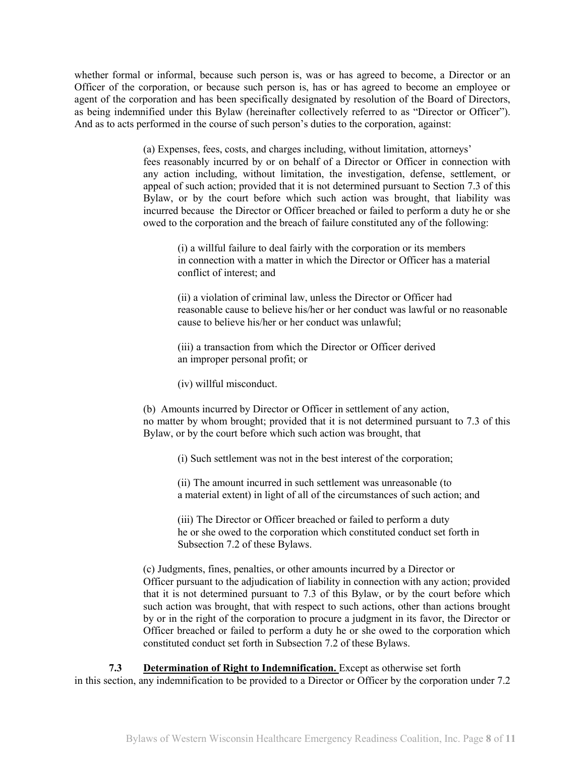whether formal or informal, because such person is, was or has agreed to become, a Director or an Officer of the corporation, or because such person is, has or has agreed to become an employee or agent of the corporation and has been specifically designated by resolution of the Board of Directors, as being indemnified under this Bylaw (hereinafter collectively referred to as "Director or Officer"). And as to acts performed in the course of such person's duties to the corporation, against:

> (a) Expenses, fees, costs, and charges including, without limitation, attorneys' fees reasonably incurred by or on behalf of a Director or Officer in connection with any action including, without limitation, the investigation, defense, settlement, or appeal of such action; provided that it is not determined pursuant to Section 7.3 of this Bylaw, or by the court before which such action was brought, that liability was incurred because the Director or Officer breached or failed to perform a duty he or she owed to the corporation and the breach of failure constituted any of the following:

(i) a willful failure to deal fairly with the corporation or its members in connection with a matter in which the Director or Officer has a material conflict of interest; and

(ii) a violation of criminal law, unless the Director or Officer had reasonable cause to believe his/her or her conduct was lawful or no reasonable cause to believe his/her or her conduct was unlawful;

(iii) a transaction from which the Director or Officer derived an improper personal profit; or

(iv) willful misconduct.

(b) Amounts incurred by Director or Officer in settlement of any action, no matter by whom brought; provided that it is not determined pursuant to 7.3 of this Bylaw, or by the court before which such action was brought, that

(i) Such settlement was not in the best interest of the corporation;

(ii) The amount incurred in such settlement was unreasonable (to a material extent) in light of all of the circumstances of such action; and

(iii) The Director or Officer breached or failed to perform a duty he or she owed to the corporation which constituted conduct set forth in Subsection 7.2 of these Bylaws.

(c) Judgments, fines, penalties, or other amounts incurred by a Director or Officer pursuant to the adjudication of liability in connection with any action; provided that it is not determined pursuant to 7.3 of this Bylaw, or by the court before which such action was brought, that with respect to such actions, other than actions brought by or in the right of the corporation to procure a judgment in its favor, the Director or Officer breached or failed to perform a duty he or she owed to the corporation which constituted conduct set forth in Subsection 7.2 of these Bylaws.

**7.3 Determination of Right to Indemnification.** Except as otherwise set forth in this section, any indemnification to be provided to a Director or Officer by the corporation under 7.2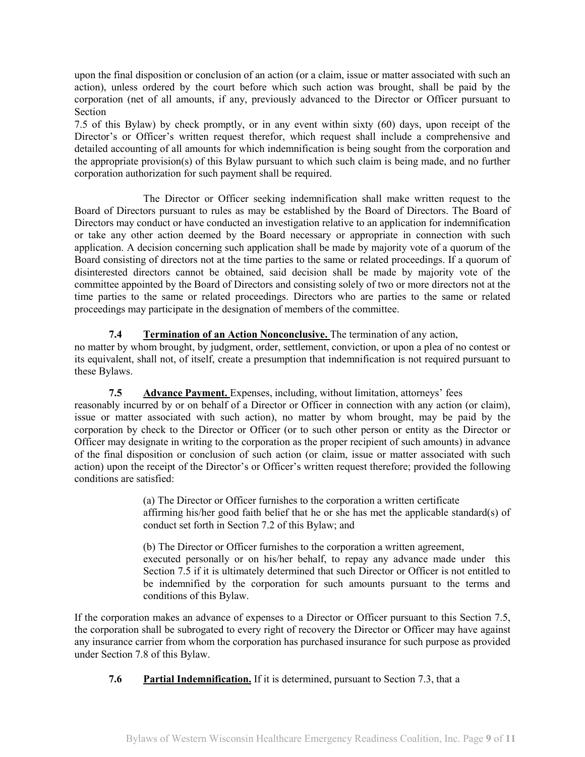upon the final disposition or conclusion of an action (or a claim, issue or matter associated with such an action), unless ordered by the court before which such action was brought, shall be paid by the corporation (net of all amounts, if any, previously advanced to the Director or Officer pursuant to Section

7.5 of this Bylaw) by check promptly, or in any event within sixty (60) days, upon receipt of the Director's or Officer's written request therefor, which request shall include a comprehensive and detailed accounting of all amounts for which indemnification is being sought from the corporation and the appropriate provision(s) of this Bylaw pursuant to which such claim is being made, and no further corporation authorization for such payment shall be required.

The Director or Officer seeking indemnification shall make written request to the Board of Directors pursuant to rules as may be established by the Board of Directors. The Board of Directors may conduct or have conducted an investigation relative to an application for indemnification or take any other action deemed by the Board necessary or appropriate in connection with such application. A decision concerning such application shall be made by majority vote of a quorum of the Board consisting of directors not at the time parties to the same or related proceedings. If a quorum of disinterested directors cannot be obtained, said decision shall be made by majority vote of the committee appointed by the Board of Directors and consisting solely of two or more directors not at the time parties to the same or related proceedings. Directors who are parties to the same or related proceedings may participate in the designation of members of the committee.

### **7.4 Termination of an Action Nonconclusive.** The termination of any action,

no matter by whom brought, by judgment, order, settlement, conviction, or upon a plea of no contest or its equivalent, shall not, of itself, create a presumption that indemnification is not required pursuant to these Bylaws.

#### **7.5 Advance Payment.** Expenses, including, without limitation, attorneys' fees

reasonably incurred by or on behalf of a Director or Officer in connection with any action (or claim), issue or matter associated with such action), no matter by whom brought, may be paid by the corporation by check to the Director or Officer (or to such other person or entity as the Director or Officer may designate in writing to the corporation as the proper recipient of such amounts) in advance of the final disposition or conclusion of such action (or claim, issue or matter associated with such action) upon the receipt of the Director's or Officer's written request therefore; provided the following conditions are satisfied:

> (a) The Director or Officer furnishes to the corporation a written certificate affirming his/her good faith belief that he or she has met the applicable standard(s) of conduct set forth in Section 7.2 of this Bylaw; and

> (b) The Director or Officer furnishes to the corporation a written agreement, executed personally or on his/her behalf, to repay any advance made under this Section 7.5 if it is ultimately determined that such Director or Officer is not entitled to be indemnified by the corporation for such amounts pursuant to the terms and conditions of this Bylaw.

If the corporation makes an advance of expenses to a Director or Officer pursuant to this Section 7.5, the corporation shall be subrogated to every right of recovery the Director or Officer may have against any insurance carrier from whom the corporation has purchased insurance for such purpose as provided under Section 7.8 of this Bylaw.

**7.6 Partial Indemnification.** If it is determined, pursuant to Section 7.3, that a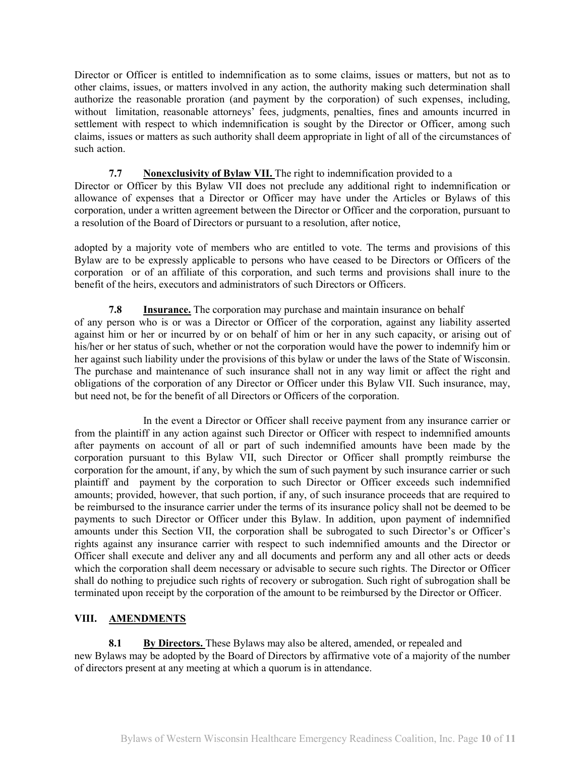Director or Officer is entitled to indemnification as to some claims, issues or matters, but not as to other claims, issues, or matters involved in any action, the authority making such determination shall authorize the reasonable proration (and payment by the corporation) of such expenses, including, without limitation, reasonable attorneys' fees, judgments, penalties, fines and amounts incurred in settlement with respect to which indemnification is sought by the Director or Officer, among such claims, issues or matters as such authority shall deem appropriate in light of all of the circumstances of such action.

### **7.7 Nonexclusivity of Bylaw VII.** The right to indemnification provided to a

Director or Officer by this Bylaw VII does not preclude any additional right to indemnification or allowance of expenses that a Director or Officer may have under the Articles or Bylaws of this corporation, under a written agreement between the Director or Officer and the corporation, pursuant to a resolution of the Board of Directors or pursuant to a resolution, after notice,

adopted by a majority vote of members who are entitled to vote. The terms and provisions of this Bylaw are to be expressly applicable to persons who have ceased to be Directors or Officers of the corporation or of an affiliate of this corporation, and such terms and provisions shall inure to the benefit of the heirs, executors and administrators of such Directors or Officers.

**7.8 Insurance.** The corporation may purchase and maintain insurance on behalf of any person who is or was a Director or Officer of the corporation, against any liability asserted against him or her or incurred by or on behalf of him or her in any such capacity, or arising out of his/her or her status of such, whether or not the corporation would have the power to indemnify him or her against such liability under the provisions of this bylaw or under the laws of the State of Wisconsin. The purchase and maintenance of such insurance shall not in any way limit or affect the right and obligations of the corporation of any Director or Officer under this Bylaw VII. Such insurance, may, but need not, be for the benefit of all Directors or Officers of the corporation.

In the event a Director or Officer shall receive payment from any insurance carrier or from the plaintiff in any action against such Director or Officer with respect to indemnified amounts after payments on account of all or part of such indemnified amounts have been made by the corporation pursuant to this Bylaw VII, such Director or Officer shall promptly reimburse the corporation for the amount, if any, by which the sum of such payment by such insurance carrier or such plaintiff and payment by the corporation to such Director or Officer exceeds such indemnified amounts; provided, however, that such portion, if any, of such insurance proceeds that are required to be reimbursed to the insurance carrier under the terms of its insurance policy shall not be deemed to be payments to such Director or Officer under this Bylaw. In addition, upon payment of indemnified amounts under this Section VII, the corporation shall be subrogated to such Director's or Officer's rights against any insurance carrier with respect to such indemnified amounts and the Director or Officer shall execute and deliver any and all documents and perform any and all other acts or deeds which the corporation shall deem necessary or advisable to secure such rights. The Director or Officer shall do nothing to prejudice such rights of recovery or subrogation. Such right of subrogation shall be terminated upon receipt by the corporation of the amount to be reimbursed by the Director or Officer.

### **VIII. AMENDMENTS**

**8.1 By Directors.** These Bylaws may also be altered, amended, or repealed and new Bylaws may be adopted by the Board of Directors by affirmative vote of a majority of the number of directors present at any meeting at which a quorum is in attendance.